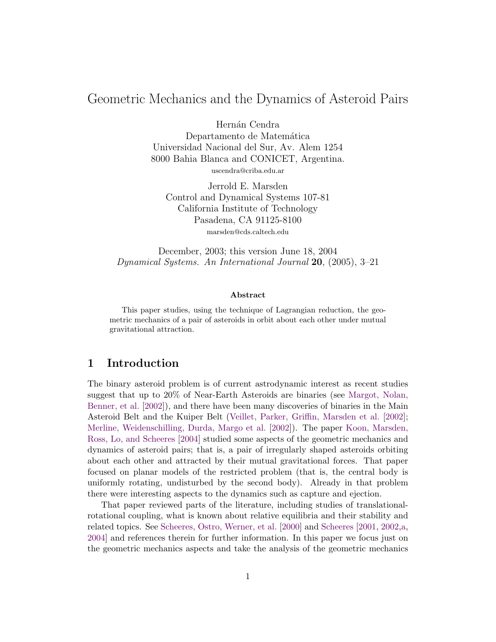# Geometric Mechanics and the Dynamics of Asteroid Pairs

Hernán Cendra Departamento de Matemática Universidad Nacional del Sur, Av. Alem 1254 8000 Bahia Blanca and CONICET, Argentina.

uscendra@criba.edu.ar

Jerrold E. Marsden Control and Dynamical Systems 107-81 California Institute of Technology Pasadena, CA 91125-8100 marsden@cds.caltech.edu

December, 2003; this version June 18, 2004 Dynamical Systems. An International Journal 20, (2005), 3–21

#### Abstract

This paper studies, using the technique of Lagrangian reduction, the geometric mechanics of a pair of asteroids in orbit about each other under mutual gravitational attraction.

### 1 Introduction

The binary asteroid problem is of current astrodynamic interest as recent studies suggest that up to 20% of Near-Earth Asteroids are binaries (see [Margot, Nolan,](#page-18-0) [Benner, et al.](#page-18-0) [\[2002\]](#page-18-0)), and there have been many discoveries of binaries in the Main Asteroid Belt and the Kuiper Belt [\(Veillet, Parker, Griffin, Marsden et al.](#page-19-0) [\[2002\]](#page-19-0); [Merline, Weidenschilling, Durda, Margo et al.](#page-19-1) [\[2002\]](#page-19-1)). The paper [Koon, Marsden,](#page-18-1) [Ross, Lo, and Scheeres](#page-18-1) [\[2004\]](#page-18-1) studied some aspects of the geometric mechanics and dynamics of asteroid pairs; that is, a pair of irregularly shaped asteroids orbiting about each other and attracted by their mutual gravitational forces. That paper focused on planar models of the restricted problem (that is, the central body is uniformly rotating, undisturbed by the second body). Already in that problem there were interesting aspects to the dynamics such as capture and ejection.

That paper reviewed parts of the literature, including studies of translationalrotational coupling, what is known about relative equilibria and their stability and related topics. See [Scheeres, Ostro, Werner, et al.](#page-19-2) [\[2000\]](#page-19-2) and [Scheeres](#page-19-3) [\[2001,](#page-19-3) [2002](#page-19-4)[,a,](#page-19-5) [2004\]](#page-19-6) and references therein for further information. In this paper we focus just on the geometric mechanics aspects and take the analysis of the geometric mechanics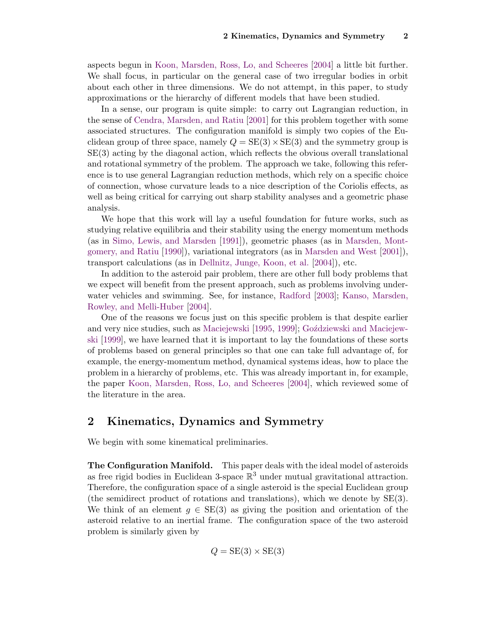aspects begun in [Koon, Marsden, Ross, Lo, and Scheeres](#page-18-1) [\[2004\]](#page-18-1) a little bit further. We shall focus, in particular on the general case of two irregular bodies in orbit about each other in three dimensions. We do not attempt, in this paper, to study approximations or the hierarchy of different models that have been studied.

In a sense, our program is quite simple: to carry out Lagrangian reduction, in the sense of [Cendra, Marsden, and Ratiu](#page-18-2) [\[2001\]](#page-18-2) for this problem together with some associated structures. The configuration manifold is simply two copies of the Euclidean group of three space, namely  $Q = SE(3) \times SE(3)$  and the symmetry group is SE(3) acting by the diagonal action, which reflects the obvious overall translational and rotational symmetry of the problem. The approach we take, following this reference is to use general Lagrangian reduction methods, which rely on a specific choice of connection, whose curvature leads to a nice description of the Coriolis effects, as well as being critical for carrying out sharp stability analyses and a geometric phase analysis.

We hope that this work will lay a useful foundation for future works, such as studying relative equilibria and their stability using the energy momentum methods (as in [Simo, Lewis, and Marsden](#page-19-7) [\[1991\]](#page-19-7)), geometric phases (as in [Marsden, Mont](#page-19-8)[gomery, and Ratiu](#page-19-8) [\[1990\]](#page-19-8)), variational integrators (as in [Marsden and West](#page-19-9) [\[2001\]](#page-19-9)), transport calculations (as in [Dellnitz, Junge, Koon, et al.](#page-18-3) [\[2004\]](#page-18-3)), etc.

In addition to the asteroid pair problem, there are other full body problems that we expect will benefit from the present approach, such as problems involving underwater vehicles and swimming. See, for instance, [Radford](#page-19-10) [\[2003\]](#page-19-10); [Kanso, Marsden,](#page-18-4) [Rowley, and Melli-Huber](#page-18-4) [\[2004\]](#page-18-4).

One of the reasons we focus just on this specific problem is that despite earlier and very nice studies, such as [Maciejewski](#page-18-5) [\[1995,](#page-18-5) [1999\]](#page-18-6); Goździewski and Maciejew[ski](#page-18-7) [\[1999\]](#page-18-7), we have learned that it is important to lay the foundations of these sorts of problems based on general principles so that one can take full advantage of, for example, the energy-momentum method, dynamical systems ideas, how to place the problem in a hierarchy of problems, etc. This was already important in, for example, the paper [Koon, Marsden, Ross, Lo, and Scheeres](#page-18-1) [\[2004\]](#page-18-1), which reviewed some of the literature in the area.

### 2 Kinematics, Dynamics and Symmetry

We begin with some kinematical preliminaries.

The Configuration Manifold. This paper deals with the ideal model of asteroids as free rigid bodies in Euclidean 3-space  $\mathbb{R}^3$  under mutual gravitational attraction. Therefore, the configuration space of a single asteroid is the special Euclidean group (the semidirect product of rotations and translations), which we denote by SE(3). We think of an element  $g \in SE(3)$  as giving the position and orientation of the asteroid relative to an inertial frame. The configuration space of the two asteroid problem is similarly given by

$$
Q = \text{SE}(3) \times \text{SE}(3)
$$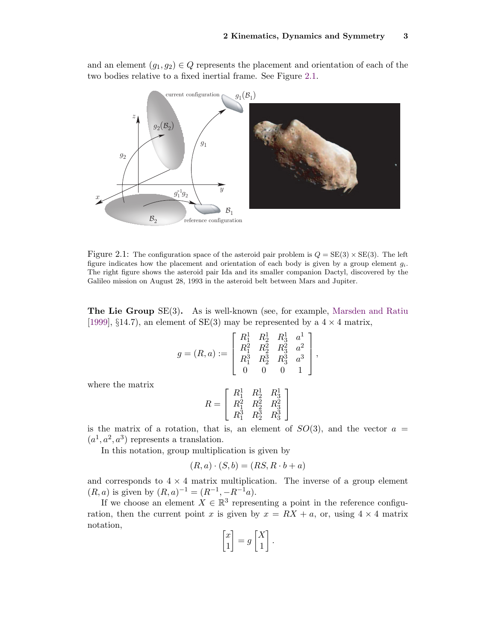and an element  $(g_1, g_2) \in Q$  represents the placement and orientation of each of the two bodies relative to a fixed inertial frame. See Figure [2.1.](#page-2-0)



<span id="page-2-0"></span>Figure 2.1: The configuration space of the asteroid pair problem is  $Q = SE(3) \times SE(3)$ . The left figure indicates how the placement and orientation of each body is given by a group element  $g_i$ . The right figure shows the asteroid pair Ida and its smaller companion Dactyl, discovered by the Galileo mission on August 28, 1993 in the asteroid belt between Mars and Jupiter.

The Lie Group SE(3). As is well-known (see, for example, [Marsden and Ratiu](#page-19-11) [\[1999\]](#page-19-11), §14.7), an element of  $SE(3)$  may be represented by a  $4 \times 4$  matrix,

$$
g = (R, a) := \begin{bmatrix} R_1^1 & R_2^1 & R_3^1 & a^1 \\ R_1^2 & R_2^2 & R_3^2 & a^2 \\ R_1^3 & R_2^3 & R_3^3 & a^3 \\ 0 & 0 & 0 & 1 \end{bmatrix},
$$

where the matrix

$$
R = \left[ \begin{array}{ccc} R_1^1 & R_2^1 & R_3^1 \\ R_1^2 & R_2^2 & R_3^2 \\ R_1^3 & R_2^3 & R_3^3 \end{array} \right]
$$

is the matrix of a rotation, that is, an element of  $SO(3)$ , and the vector  $a =$  $(a^1, a^2, a^3)$  represents a translation.

In this notation, group multiplication is given by

$$
(R, a) \cdot (S, b) = (RS, R \cdot b + a)
$$

and corresponds to  $4 \times 4$  matrix multiplication. The inverse of a group element  $(R, a)$  is given by  $(R, a)^{-1} = (R^{-1}, -R^{-1}a)$ .

If we choose an element  $X \in \mathbb{R}^3$  representing a point in the reference configuration, then the current point x is given by  $x = RX + a$ , or, using  $4 \times 4$  matrix notation,

$$
\begin{bmatrix} x \\ 1 \end{bmatrix} = g \begin{bmatrix} X \\ 1 \end{bmatrix}.
$$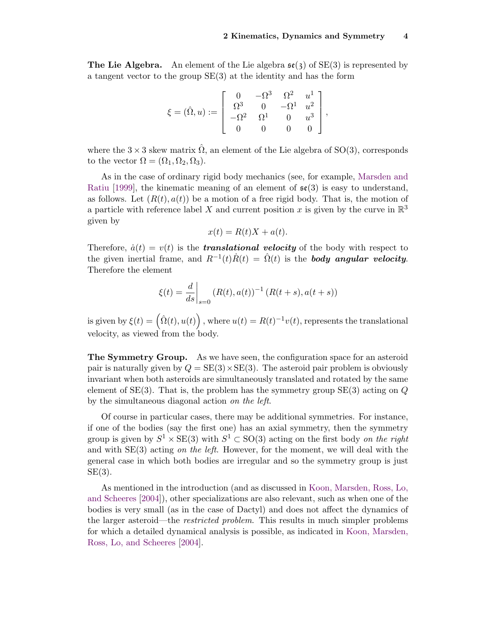**The Lie Algebra.** An element of the Lie algebra  $\mathfrak{se}(3)$  of  $SE(3)$  is represented by a tangent vector to the group SE(3) at the identity and has the form

$$
\xi = (\hat{\Omega}, u) := \begin{bmatrix} 0 & -\Omega^3 & \Omega^2 & u^1 \\ \Omega^3 & 0 & -\Omega^1 & u^2 \\ -\Omega^2 & \Omega^1 & 0 & u^3 \\ 0 & 0 & 0 & 0 \end{bmatrix},
$$

where the  $3 \times 3$  skew matrix  $\hat{\Omega}$ , an element of the Lie algebra of SO(3), corresponds to the vector  $\Omega = (\Omega_1, \Omega_2, \Omega_3)$ .

As in the case of ordinary rigid body mechanics (see, for example, [Marsden and](#page-19-11) [Ratiu](#page-19-11) [\[1999\]](#page-19-11), the kinematic meaning of an element of  $\mathfrak{se}(3)$  is easy to understand, as follows. Let  $(R(t), a(t))$  be a motion of a free rigid body. That is, the motion of a particle with reference label X and current position x is given by the curve in  $\mathbb{R}^3$ given by

$$
x(t) = R(t)X + a(t).
$$

Therefore,  $\dot{a}(t) = v(t)$  is the **translational velocity** of the body with respect to the given inertial frame, and  $R^{-1}(t)\dot{R}(t) = \hat{\Omega}(t)$  is the **body angular velocity.** Therefore the element

$$
\xi(t) = \frac{d}{ds}\bigg|_{s=0} (R(t), a(t))^{-1} (R(t+s), a(t+s))
$$

is given by  $\xi(t) = (\hat{\Omega}(t), u(t))$ , where  $u(t) = R(t)^{-1}v(t)$ , represents the translational velocity, as viewed from the body.

The Symmetry Group. As we have seen, the configuration space for an asteroid pair is naturally given by  $Q = SE(3) \times SE(3)$ . The asteroid pair problem is obviously invariant when both asteroids are simultaneously translated and rotated by the same element of  $SE(3)$ . That is, the problem has the symmetry group  $SE(3)$  acting on  $Q$ by the simultaneous diagonal action on the left.

Of course in particular cases, there may be additional symmetries. For instance, if one of the bodies (say the first one) has an axial symmetry, then the symmetry group is given by  $S^1 \times \text{SE}(3)$  with  $S^1 \subset \text{SO}(3)$  acting on the first body on the right and with  $SE(3)$  acting on the left. However, for the moment, we will deal with the general case in which both bodies are irregular and so the symmetry group is just  $SE(3)$ .

As mentioned in the introduction (and as discussed in [Koon, Marsden, Ross, Lo,](#page-18-1) [and Scheeres](#page-18-1) [\[2004\]](#page-18-1)), other specializations are also relevant, such as when one of the bodies is very small (as in the case of Dactyl) and does not affect the dynamics of the larger asteroid—the *restricted problem*. This results in much simpler problems for which a detailed dynamical analysis is possible, as indicated in [Koon, Marsden,](#page-18-1) [Ross, Lo, and Scheeres](#page-18-1) [\[2004\]](#page-18-1).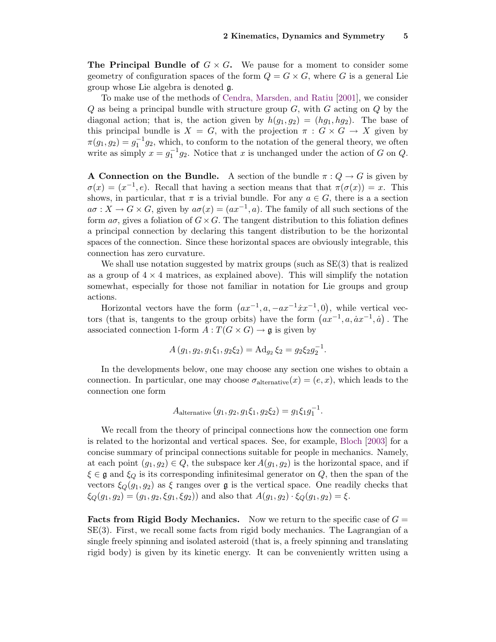**The Principal Bundle of**  $G \times G$ . We pause for a moment to consider some geometry of configuration spaces of the form  $Q = G \times G$ , where G is a general Lie group whose Lie algebra is denoted g.

To make use of the methods of [Cendra, Marsden, and Ratiu](#page-18-2) [\[2001\]](#page-18-2), we consider  $Q$  as being a principal bundle with structure group  $G$ , with  $G$  acting on  $Q$  by the diagonal action; that is, the action given by  $h(g_1, g_2) = (hg_1, hg_2)$ . The base of this principal bundle is  $X = G$ , with the projection  $\pi : G \times G \to X$  given by  $\pi(g_1, g_2) = g_1^{-1}g_2$ , which, to conform to the notation of the general theory, we often write as simply  $x = g_1^{-1}g_2$ . Notice that x is unchanged under the action of G on Q.

**A Connection on the Bundle.** A section of the bundle  $\pi: Q \to G$  is given by  $\sigma(x) = (x^{-1}, e)$ . Recall that having a section means that that  $\pi(\sigma(x)) = x$ . This shows, in particular, that  $\pi$  is a trivial bundle. For any  $a \in G$ , there is a a section  $a\sigma: X \to G \times G$ , given by  $a\sigma(x) = (ax^{-1}, a)$ . The family of all such sections of the form  $a\sigma$ , gives a foliation of  $G\times G$ . The tangent distribution to this foliation defines a principal connection by declaring this tangent distribution to be the horizontal spaces of the connection. Since these horizontal spaces are obviously integrable, this connection has zero curvature.

We shall use notation suggested by matrix groups (such as  $SE(3)$ ) that is realized as a group of  $4 \times 4$  matrices, as explained above). This will simplify the notation somewhat, especially for those not familiar in notation for Lie groups and group actions.

Horizontal vectors have the form  $(ax^{-1}, a, -ax^{-1}xx^{-1}, 0)$ , while vertical vectors (that is, tangents to the group orbits) have the form  $(ax^{-1}, a, ax^{-1}, a)$ . The associated connection 1-form  $A: T(G \times G) \to \mathfrak{g}$  is given by

$$
A(g_1, g_2, g_1\xi_1, g_2\xi_2) = \mathrm{Ad}_{g_2}\xi_2 = g_2\xi_2g_2^{-1}.
$$

In the developments below, one may choose any section one wishes to obtain a connection. In particular, one may choose  $\sigma_{\text{alternative}}(x) = (e, x)$ , which leads to the connection one form

A<sub>alternative</sub> 
$$
(g_1, g_2, g_1\xi_1, g_2\xi_2) = g_1\xi_1g_1^{-1}
$$
.

We recall from the theory of principal connections how the connection one form is related to the horizontal and vertical spaces. See, for example, [Bloch](#page-18-8) [\[2003\]](#page-18-8) for a concise summary of principal connections suitable for people in mechanics. Namely, at each point  $(g_1, g_2) \in Q$ , the subspace ker  $A(g_1, g_2)$  is the horizontal space, and if  $\xi \in \mathfrak{g}$  and  $\xi_Q$  is its corresponding infinitesimal generator on Q, then the span of the vectors  $\xi_Q(g_1, g_2)$  as  $\xi$  ranges over g is the vertical space. One readily checks that  $\xi_Q(g_1, g_2) = (g_1, g_2, \xi g_1, \xi g_2)$  and also that  $A(g_1, g_2) \cdot \xi_Q(g_1, g_2) = \xi$ .

**Facts from Rigid Body Mechanics.** Now we return to the specific case of  $G =$ SE(3). First, we recall some facts from rigid body mechanics. The Lagrangian of a single freely spinning and isolated asteroid (that is, a freely spinning and translating rigid body) is given by its kinetic energy. It can be conveniently written using a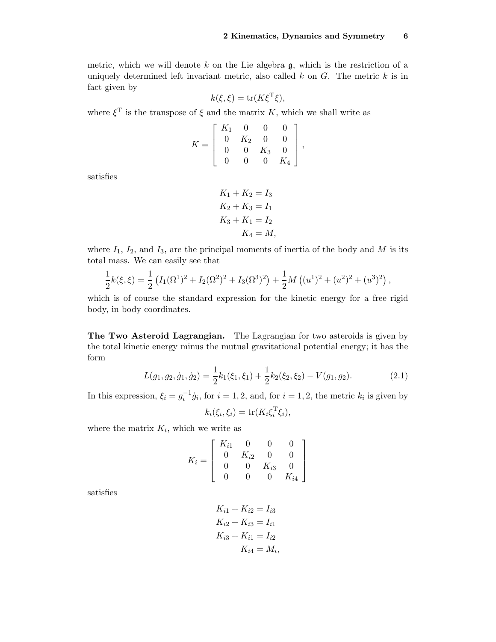metric, which we will denote k on the Lie algebra  $\mathfrak{g}$ , which is the restriction of a uniquely determined left invariant metric, also called  $k$  on  $G$ . The metric  $k$  is in fact given by

$$
k(\xi, \xi) = \text{tr}(K\xi^{\mathrm{T}}\xi),
$$

where  $\xi^T$  is the transpose of  $\xi$  and the matrix K, which we shall write as

$$
K = \left[ \begin{array}{cccc} K_1 & 0 & 0 & 0 \\ 0 & K_2 & 0 & 0 \\ 0 & 0 & K_3 & 0 \\ 0 & 0 & 0 & K_4 \end{array} \right],
$$

satisfies

$$
K_1 + K_2 = I_3
$$
  
\n
$$
K_2 + K_3 = I_1
$$
  
\n
$$
K_3 + K_1 = I_2
$$
  
\n
$$
K_4 = M,
$$

where  $I_1$ ,  $I_2$ , and  $I_3$ , are the principal moments of inertia of the body and M is its total mass. We can easily see that

$$
\frac{1}{2}k(\xi,\xi) = \frac{1}{2}\left(I_1(\Omega^1)^2 + I_2(\Omega^2)^2 + I_3(\Omega^3)^2\right) + \frac{1}{2}M\left((u^1)^2 + (u^2)^2 + (u^3)^2\right),
$$

which is of course the standard expression for the kinetic energy for a free rigid body, in body coordinates.

The Two Asteroid Lagrangian. The Lagrangian for two asteroids is given by the total kinetic energy minus the mutual gravitational potential energy; it has the form

$$
L(g_1, g_2, \dot{g}_1, \dot{g}_2) = \frac{1}{2}k_1(\xi_1, \xi_1) + \frac{1}{2}k_2(\xi_2, \xi_2) - V(g_1, g_2). \tag{2.1}
$$

In this expression,  $\xi_i = g_i^{-1} \dot{g}_i$ , for  $i = 1, 2$ , and, for  $i = 1, 2$ , the metric  $k_i$  is given by

<span id="page-5-0"></span>
$$
k_i(\xi_i, \xi_i) = \text{tr}(K_i \xi_i^{\text{T}} \xi_i),
$$

where the matrix  $K_i$ , which we write as

$$
K_i = \left[ \begin{array}{cccc} K_{i1} & 0 & 0 & 0 \\ 0 & K_{i2} & 0 & 0 \\ 0 & 0 & K_{i3} & 0 \\ 0 & 0 & 0 & K_{i4} \end{array} \right]
$$

satisfies

$$
K_{i1} + K_{i2} = I_{i3}
$$
  
\n
$$
K_{i2} + K_{i3} = I_{i1}
$$
  
\n
$$
K_{i3} + K_{i1} = I_{i2}
$$
  
\n
$$
K_{i4} = M_i
$$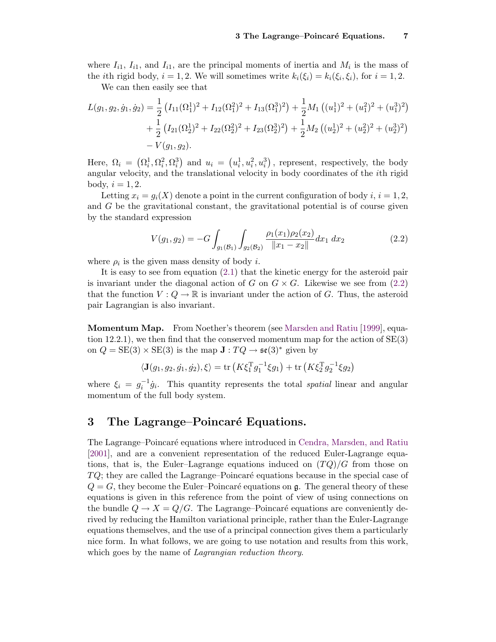where  $I_{i1}$ ,  $I_{i1}$ , and  $I_{i1}$ , are the principal moments of inertia and  $M_i$  is the mass of the *i*th rigid body,  $i = 1, 2$ . We will sometimes write  $k_i(\xi_i) = k_i(\xi_i, \xi_i)$ , for  $i = 1, 2$ .

We can then easily see that

$$
L(g_1, g_2, \dot{g}_1, \dot{g}_2) = \frac{1}{2} \left( I_{11}(\Omega_1^1)^2 + I_{12}(\Omega_1^2)^2 + I_{13}(\Omega_1^3)^2 \right) + \frac{1}{2} M_1 \left( (u_1^1)^2 + (u_1^2)^2 + (u_1^3)^2 \right) + \frac{1}{2} \left( I_{21}(\Omega_2^1)^2 + I_{22}(\Omega_2^2)^2 + I_{23}(\Omega_2^3)^2 \right) + \frac{1}{2} M_2 \left( (u_2^1)^2 + (u_2^2)^2 + (u_2^3)^2 \right) - V(g_1, g_2).
$$

Here,  $\Omega_i = (\Omega_i^1, \Omega_i^2, \Omega_i^3)$  and  $u_i = (u_i^1, u_i^2, u_i^3)$ , represent, respectively, the body angular velocity, and the translational velocity in body coordinates of the ith rigid body,  $i = 1, 2$ .

Letting  $x_i = g_i(X)$  denote a point in the current configuration of body  $i, i = 1, 2$ , and G be the gravitational constant, the gravitational potential is of course given by the standard expression

<span id="page-6-0"></span>
$$
V(g_1, g_2) = -G \int_{g_1(\mathcal{B}_1)} \int_{g_2(\mathcal{B}_2)} \frac{\rho_1(x_1)\rho_2(x_2)}{\|x_1 - x_2\|} dx_1 dx_2 \tag{2.2}
$$

where  $\rho_i$  is the given mass density of body *i*.

It is easy to see from equation [\(2.1\)](#page-5-0) that the kinetic energy for the asteroid pair is invariant under the diagonal action of G on  $G \times G$ . Likewise we see from [\(2.2\)](#page-6-0) that the function  $V: Q \to \mathbb{R}$  is invariant under the action of G. Thus, the asteroid pair Lagrangian is also invariant.

Momentum Map. From Noether's theorem (see [Marsden and Ratiu](#page-19-11) [\[1999\]](#page-19-11), equation 12.2.1), we then find that the conserved momentum map for the action of  $SE(3)$ on  $Q = SE(3) \times SE(3)$  is the map  $\mathbf{J} : TQ \to \mathfrak{se}(3)^*$  given by

$$
\langle \mathbf{J}(g_1, g_2, \dot{g}_1, \dot{g}_2), \xi \rangle = \text{tr}\left(K\xi_1^T g_1^{-1}\xi g_1\right) + \text{tr}\left(K\xi_2^T g_2^{-1}\xi g_2\right)
$$

where  $\xi_i = g_i^{-1} \dot{g}_i$ . This quantity represents the total spatial linear and angular momentum of the full body system.

### 3 The Lagrange–Poincaré Equations.

The Lagrange–Poincar´e equations where introduced in [Cendra, Marsden, and Ratiu](#page-18-2) [\[2001\]](#page-18-2), and are a convenient representation of the reduced Euler-Lagrange equations, that is, the Euler–Lagrange equations induced on  $(TQ)/G$  from those on  $TQ$ ; they are called the Lagrange–Poincaré equations because in the special case of  $Q = G$ , they become the Euler–Poincaré equations on g. The general theory of these equations is given in this reference from the point of view of using connections on the bundle  $Q \to X = Q/G$ . The Lagrange–Poincaré equations are conveniently derived by reducing the Hamilton variational principle, rather than the Euler-Lagrange equations themselves, and the use of a principal connection gives them a particularly nice form. In what follows, we are going to use notation and results from this work, which goes by the name of *Lagrangian reduction theory*.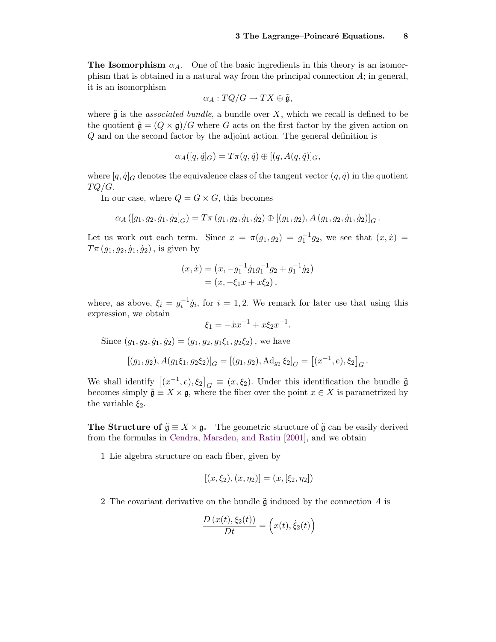**The Isomorphism**  $\alpha_A$ . One of the basic ingredients in this theory is an isomorphism that is obtained in a natural way from the principal connection  $A$ ; in general, it is an isomorphism

$$
\alpha_A: TQ/G \to TX \oplus \tilde{\mathfrak{g}},
$$

where  $\tilde{\mathfrak{g}}$  is the *associated bundle*, a bundle over X, which we recall is defined to be the quotient  $\tilde{\mathfrak{g}} = (Q \times \mathfrak{g})/G$  where G acts on the first factor by the given action on Q and on the second factor by the adjoint action. The general definition is

$$
\alpha_A([q,\dot{q}]_G)=T\pi(q,\dot{q})\oplus[(q,A(q,\dot{q})]_G,
$$

where  $[q, \dot{q}]_G$  denotes the equivalence class of the tangent vector  $(q, \dot{q})$  in the quotient  $TQ/G$ .

In our case, where  $Q = G \times G$ , this becomes

$$
\alpha_A([g_1,g_2,\dot{g}_1,\dot{g}_2]_G)=T\pi(g_1,g_2,\dot{g}_1,\dot{g}_2)\oplus[(g_1,g_2),A(g_1,g_2,\dot{g}_1,\dot{g}_2)]_G.
$$

Let us work out each term. Since  $x = \pi(g_1, g_2) = g_1^{-1}g_2$ , we see that  $(x, \dot{x}) =$  $T\pi(g_1, g_2, \dot{g}_1, \dot{g}_2)$ , is given by

$$
(x, \dot{x}) = (x, -g_1^{-1}\dot{g}_1g_1^{-1}g_2 + g_1^{-1}\dot{g}_2)
$$
  
=  $(x, -\xi_1x + x\xi_2)$ ,

where, as above,  $\xi_i = g_i^{-1} \dot{g}_i$ , for  $i = 1, 2$ . We remark for later use that using this expression, we obtain

$$
\xi_1 = -\dot{x}x^{-1} + x\xi_2 x^{-1}.
$$

Since  $(g_1, g_2, \dot{g}_1, \dot{g}_2) = (g_1, g_2, g_1 \xi_1, g_2 \xi_2)$ , we have

$$
[(g_1, g_2), A(g_1\xi_1, g_2\xi_2)]_G = [(g_1, g_2), \mathrm{Ad}_{g_2}\xi_2]_G = [(x^{-1}, e), \xi_2]_G.
$$

We shall identify  $[(x^{-1}, e), \xi_2]_G \equiv (x, \xi_2)$ . Under this identification the bundle  $\tilde{\mathfrak{g}}$ becomes simply  $\tilde{\mathfrak{g}} \equiv X \times \mathfrak{g}$ , where the fiber over the point  $x \in X$  is parametrized by the variable  $\xi_2$ .

The Structure of  $\tilde{\mathfrak{g}} \equiv X \times \mathfrak{g}$ . The geometric structure of  $\tilde{\mathfrak{g}}$  can be easily derived from the formulas in [Cendra, Marsden, and Ratiu](#page-18-2) [\[2001\]](#page-18-2), and we obtain

1 Lie algebra structure on each fiber, given by

$$
[(x, \xi_2), (x, \eta_2)] = (x, [\xi_2, \eta_2])
$$

2 The covariant derivative on the bundle  $\tilde{\mathfrak{g}}$  induced by the connection A is

$$
\frac{D(x(t), \xi_2(t))}{Dt} = (x(t), \dot{\xi}_2(t))
$$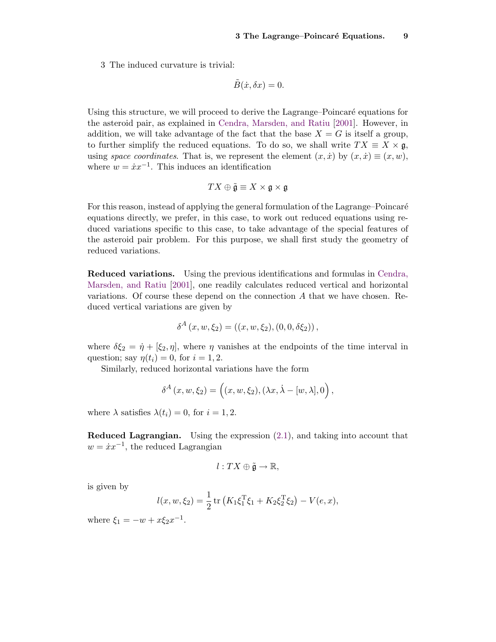3 The induced curvature is trivial:

$$
\tilde{B}(\dot{x}, \delta x) = 0
$$

Using this structure, we will proceed to derive the Lagrange–Poincaré equations for the asteroid pair, as explained in [Cendra, Marsden, and Ratiu](#page-18-2) [\[2001\]](#page-18-2). However, in addition, we will take advantage of the fact that the base  $X = G$  is itself a group, to further simplify the reduced equations. To do so, we shall write  $TX \equiv X \times \mathfrak{g}$ , using space coordinates. That is, we represent the element  $(x, \dot{x})$  by  $(x, \dot{x}) \equiv (x, w)$ , where  $w = \dot{x}x^{-1}$ . This induces an identification

$$
TX \oplus \tilde{\mathfrak{g}} \equiv X \times \mathfrak{g} \times \mathfrak{g}
$$

For this reason, instead of applying the general formulation of the Lagrange–Poincaré equations directly, we prefer, in this case, to work out reduced equations using reduced variations specific to this case, to take advantage of the special features of the asteroid pair problem. For this purpose, we shall first study the geometry of reduced variations.

Reduced variations. Using the previous identifications and formulas in [Cendra,](#page-18-2) [Marsden, and Ratiu](#page-18-2) [\[2001\]](#page-18-2), one readily calculates reduced vertical and horizontal variations. Of course these depend on the connection A that we have chosen. Reduced vertical variations are given by

$$
\delta^{A}(x, w, \xi_{2}) = ((x, w, \xi_{2}), (0, 0, \delta\xi_{2})),
$$

where  $\delta \xi_2 = \dot{\eta} + [\xi_2, \eta]$ , where  $\eta$  vanishes at the endpoints of the time interval in question; say  $\eta(t_i) = 0$ , for  $i = 1, 2$ .

Similarly, reduced horizontal variations have the form

$$
\delta^{A}(x, w, \xi_{2}) = ((x, w, \xi_{2}), (\lambda x, \lambda - [w, \lambda], 0)),
$$

where  $\lambda$  satisfies  $\lambda(t_i) = 0$ , for  $i = 1, 2$ .

Reduced Lagrangian. Using the expression [\(2.1\)](#page-5-0), and taking into account that  $w = \dot{x}x^{-1}$ , the reduced Lagrangian

$$
l:TX\oplus\tilde{\mathfrak{g}}\to\mathbb{R},
$$

is given by

$$
l(x, w, \xi_2) = \frac{1}{2} \operatorname{tr} \left( K_1 \xi_1^{\mathrm{T}} \xi_1 + K_2 \xi_2^{\mathrm{T}} \xi_2 \right) - V(e, x),
$$

where  $\xi_1 = -w + x\xi_2 x^{-1}$ .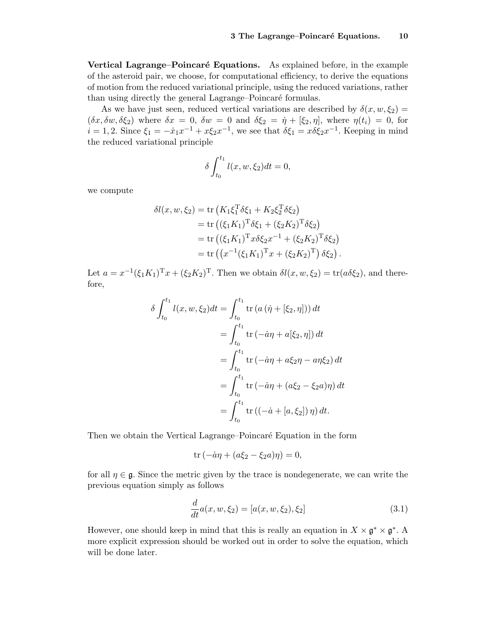Vertical Lagrange–Poincaré Equations. As explained before, in the example of the asteroid pair, we choose, for computational efficiency, to derive the equations of motion from the reduced variational principle, using the reduced variations, rather than using directly the general Lagrange–Poincaré formulas.

As we have just seen, reduced vertical variations are described by  $\delta(x, w, \xi_2)$  =  $(\delta x, \delta w, \delta \xi_2)$  where  $\delta x = 0$ ,  $\delta w = 0$  and  $\delta \xi_2 = \dot{\eta} + [\xi_2, \eta]$ , where  $\eta(t_i) = 0$ , for  $i = 1, 2$ . Since  $\xi_1 = -\dot{x}_1 x^{-1} + x \xi_2 x^{-1}$ , we see that  $\delta \xi_1 = x \delta \xi_2 x^{-1}$ . Keeping in mind the reduced variational principle

$$
\delta \int_{t_0}^{t_1} l(x, w, \xi_2) dt = 0,
$$

we compute

$$
\delta l(x, w, \xi_2) = \text{tr}\left(K_1 \xi_1^{\text{T}} \delta \xi_1 + K_2 \xi_2^{\text{T}} \delta \xi_2\right)
$$
  
= tr\left((\xi\_1 K\_1)^{\text{T}} \delta \xi\_1 + (\xi\_2 K\_2)^{\text{T}} \delta \xi\_2\right)  
= tr\left((\xi\_1 K\_1)^{\text{T}} x \delta \xi\_2 x^{-1} + (\xi\_2 K\_2)^{\text{T}} \delta \xi\_2\right)  
= tr\left((x^{-1}(\xi\_1 K\_1)^{\text{T}} x + (\xi\_2 K\_2)^{\text{T}}) \delta \xi\_2\right).

Let  $a = x^{-1}(\xi_1 K_1)^{\mathrm{T}} x + (\xi_2 K_2)^{\mathrm{T}}$ . Then we obtain  $\delta l(x, w, \xi_2) = \text{tr}(a \delta \xi_2)$ , and therefore,

$$
\delta \int_{t_0}^{t_1} l(x, w, \xi_2) dt = \int_{t_0}^{t_1} \text{tr} (a (\dot{\eta} + [\xi_2, \eta])) dt
$$
  
= 
$$
\int_{t_0}^{t_1} \text{tr} (-\dot{a}\eta + a[\xi_2, \eta]) dt
$$
  
= 
$$
\int_{t_0}^{t_1} \text{tr} (-\dot{a}\eta + a\xi_2\eta - a\eta\xi_2) dt
$$
  
= 
$$
\int_{t_0}^{t_1} \text{tr} (-\dot{a}\eta + (a\xi_2 - \xi_2 a)\eta) dt
$$
  
= 
$$
\int_{t_0}^{t_1} \text{tr} ((-\dot{a} + [a, \xi_2]) \eta) dt.
$$

Then we obtain the Vertical Lagrange–Poincaré Equation in the form

$$
\operatorname{tr}\left(-\dot{a}\eta + (a\xi_2 - \xi_2 a)\eta\right) = 0,
$$

for all  $\eta \in \mathfrak{g}$ . Since the metric given by the trace is nondegenerate, we can write the previous equation simply as follows

<span id="page-9-0"></span>
$$
\frac{d}{dt}a(x, w, \xi_2) = [a(x, w, \xi_2), \xi_2]
$$
\n(3.1)

However, one should keep in mind that this is really an equation in  $X \times \mathfrak{g}^* \times \mathfrak{g}^*$ . A more explicit expression should be worked out in order to solve the equation, which will be done later.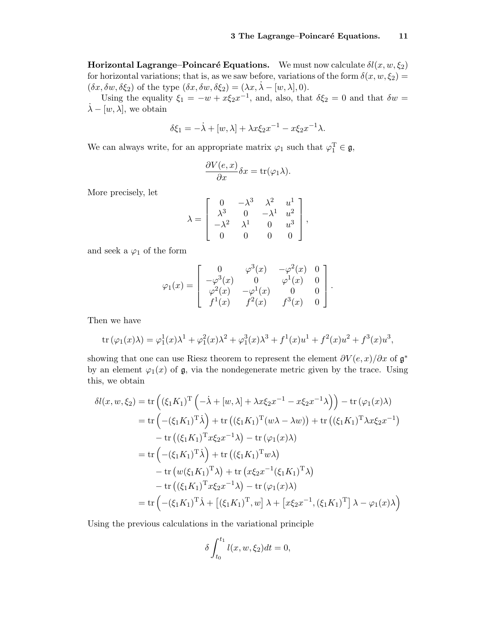**Horizontal Lagrange–Poincaré Equations.** We must now calculate  $\delta l(x, w, \xi_2)$ for horizontal variations; that is, as we saw before, variations of the form  $\delta(x, w, \xi_2)$  =  $(\delta x, \delta w, \delta \xi_2)$  of the type  $(\delta x, \delta w, \delta \xi_2) = (\lambda x, \dot{\lambda} - [w, \lambda], 0)$ .

Using the equality  $\xi_1 = -w + x\xi_2x^{-1}$ , and, also, that  $\delta \xi_2 = 0$  and that  $\delta w =$  $\lambda - [w, \lambda]$ , we obtain

$$
\delta \xi_1 = -\dot{\lambda} + [w, \lambda] + \lambda x \xi_2 x^{-1} - x \xi_2 x^{-1} \lambda.
$$

We can always write, for an appropriate matrix  $\varphi_1$  such that  $\varphi_1^T \in \mathfrak{g}$ ,

$$
\frac{\partial V(e,x)}{\partial x}\delta x = \text{tr}(\varphi_1\lambda).
$$

More precisely, let

$$
\lambda = \begin{bmatrix} 0 & -\lambda^3 & \lambda^2 & u^1 \\ \lambda^3 & 0 & -\lambda^1 & u^2 \\ -\lambda^2 & \lambda^1 & 0 & u^3 \\ 0 & 0 & 0 & 0 \end{bmatrix},
$$

and seek a  $\varphi_1$  of the form

$$
\varphi_1(x) = \begin{bmatrix} 0 & \varphi^3(x) & -\varphi^2(x) & 0 \\ -\varphi^3(x) & 0 & \varphi^1(x) & 0 \\ \varphi^2(x) & -\varphi^1(x) & 0 & 0 \\ f^1(x) & f^2(x) & f^3(x) & 0 \end{bmatrix}.
$$

Then we have

tr 
$$
(\varphi_1(x)\lambda) = \varphi_1^1(x)\lambda^1 + \varphi_1^2(x)\lambda^2 + \varphi_1^3(x)\lambda^3 + f^1(x)u^1 + f^2(x)u^2 + f^3(x)u^3
$$
,

showing that one can use Riesz theorem to represent the element  $\partial V(e, x)/\partial x$  of  $\mathfrak{g}^*$ by an element  $\varphi_1(x)$  of  $\mathfrak{g}$ , via the nondegenerate metric given by the trace. Using this, we obtain

$$
\delta l(x, w, \xi_2) = \text{tr}\left((\xi_1 K_1)^T \left(-\dot{\lambda} + [w, \lambda] + \lambda x \xi_2 x^{-1} - x \xi_2 x^{-1} \lambda\right)\right) - \text{tr}\left(\varphi_1(x)\lambda\right)
$$
  
\n
$$
= \text{tr}\left(-(\xi_1 K_1)^T \dot{\lambda}\right) + \text{tr}\left((\xi_1 K_1)^T (w\lambda - \lambda w)\right) + \text{tr}\left((\xi_1 K_1)^T \lambda x \xi_2 x^{-1}\right)
$$
  
\n
$$
- \text{tr}\left((\xi_1 K_1)^T x \xi_2 x^{-1} \lambda\right) - \text{tr}\left(\varphi_1(x)\lambda\right)
$$
  
\n
$$
= \text{tr}\left(-(\xi_1 K_1)^T \dot{\lambda}\right) + \text{tr}\left((\xi_1 K_1)^T w \lambda\right)
$$
  
\n
$$
- \text{tr}\left(w(\xi_1 K_1)^T \lambda\right) + \text{tr}\left(x \xi_2 x^{-1} (\xi_1 K_1)^T \lambda\right)
$$
  
\n
$$
- \text{tr}\left((\xi_1 K_1)^T x \xi_2 x^{-1} \lambda\right) - \text{tr}\left(\varphi_1(x)\lambda\right)
$$
  
\n
$$
= \text{tr}\left(-(\xi_1 K_1)^T \dot{\lambda} + \left[(\xi_1 K_1)^T, w\right] \lambda + \left[x \xi_2 x^{-1}, (\xi_1 K_1)^T\right] \lambda - \varphi_1(x)\lambda\right)
$$

Using the previous calculations in the variational principle

$$
\delta \int_{t_0}^{t_1} l(x, w, \xi_2) dt = 0,
$$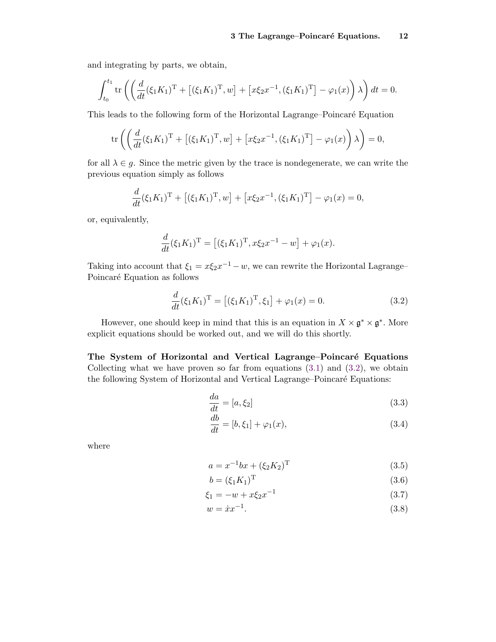and integrating by parts, we obtain,

$$
\int_{t_0}^{t_1} \text{tr}\left(\left(\frac{d}{dt}(\xi_1 K_1)^{\text{T}} + [(\xi_1 K_1)^{\text{T}}, w] + [x\xi_2 x^{-1}, (\xi_1 K_1)^{\text{T}}] - \varphi_1(x)\right)\lambda\right) dt = 0.
$$

This leads to the following form of the Horizontal Lagrange–Poincaré Equation

$$
\text{tr}\left(\left(\frac{d}{dt}(\xi_1 K_1)^{\text{T}} + [(\xi_1 K_1)^{\text{T}}, w] + [x\xi_2 x^{-1}, (\xi_1 K_1)^{\text{T}}] - \varphi_1(x)\right)\lambda\right) = 0,
$$

for all  $\lambda \in g$ . Since the metric given by the trace is nondegenerate, we can write the previous equation simply as follows

$$
\frac{d}{dt}(\xi_1 K_1)^{\mathrm{T}} + [(\xi_1 K_1)^{\mathrm{T}}, w] + [x \xi_2 x^{-1}, (\xi_1 K_1)^{\mathrm{T}}] - \varphi_1(x) = 0,
$$

or, equivalently,

$$
\frac{d}{dt}(\xi_1 K_1)^{\mathrm{T}} = [(\xi_1 K_1)^{\mathrm{T}}, x\xi_2 x^{-1} - w] + \varphi_1(x).
$$

Taking into account that  $\xi_1 = x \xi_2 x^{-1} - w$ , we can rewrite the Horizontal Lagrange– Poincaré Equation as follows

<span id="page-11-0"></span>
$$
\frac{d}{dt}(\xi_1 K_1)^{\mathrm{T}} = [(\xi_1 K_1)^{\mathrm{T}}, \xi_1] + \varphi_1(x) = 0.
$$
\n(3.2)

However, one should keep in mind that this is an equation in  $X \times \mathfrak{g}^* \times \mathfrak{g}^*$ . More explicit equations should be worked out, and we will do this shortly.

The System of Horizontal and Vertical Lagrange–Poincaré Equations Collecting what we have proven so far from equations  $(3.1)$  and  $(3.2)$ , we obtain the following System of Horizontal and Vertical Lagrange–Poincaré Equations:

<span id="page-11-3"></span>
$$
\frac{da}{dt} = [a, \xi_2] \tag{3.3}
$$

<span id="page-11-2"></span>
$$
\frac{db}{dt} = [b, \xi_1] + \varphi_1(x),\tag{3.4}
$$

where

<span id="page-11-1"></span>
$$
a = x^{-1}bx + (\xi_2 K_2)^{\mathrm{T}} \tag{3.5}
$$

$$
b = (\xi_1 K_1)^{\mathrm{T}} \tag{3.6}
$$

$$
\xi_1 = -w + x\xi_2 x^{-1} \tag{3.7}
$$

$$
w = \dot{x}x^{-1}.\tag{3.8}
$$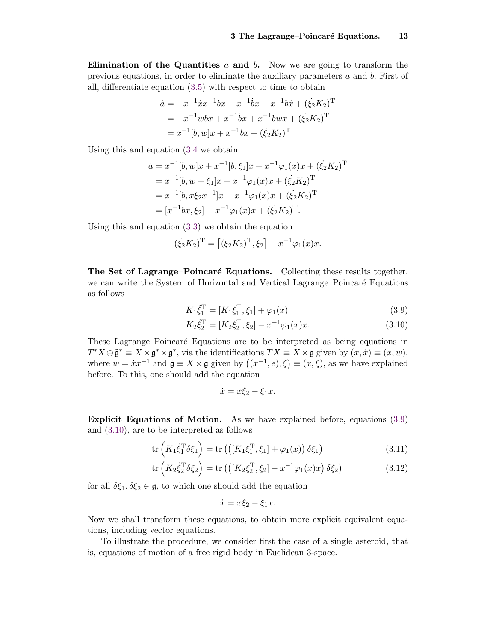Elimination of the Quantities  $a$  and  $b$ . Now we are going to transform the previous equations, in order to eliminate the auxiliary parameters  $a$  and  $b$ . First of all, differentiate equation [\(3.5\)](#page-11-1) with respect to time to obtain

$$
\dot{a} = -x^{-1}\dot{x}x^{-1}bx + x^{-1}\dot{b}x + x^{-1}b\dot{x} + (\dot{\xi}_2 K_2)^{\mathrm{T}}
$$
  
=  $-x^{-1}wbx + x^{-1}\dot{b}x + x^{-1}bwx + (\dot{\xi}_2 K_2)^{\mathrm{T}}$   
=  $x^{-1}[b, w]x + x^{-1}\dot{b}x + (\dot{\xi}_2 K_2)^{\mathrm{T}}$ 

Using this and equation [\(3.4](#page-11-2) we obtain

$$
\begin{aligned}\n\dot{a} &= x^{-1}[b, w]x + x^{-1}[b, \xi_1]x + x^{-1}\varphi_1(x)x + (\dot{\xi_2}K_2)^{\mathrm{T}} \\
&= x^{-1}[b, w + \xi_1]x + x^{-1}\varphi_1(x)x + (\xi_2K_2)^{\mathrm{T}} \\
&= x^{-1}[b, x\xi_2x^{-1}]x + x^{-1}\varphi_1(x)x + (\dot{\xi_2}K_2)^{\mathrm{T}} \\
&= [x^{-1}bx, \xi_2] + x^{-1}\varphi_1(x)x + (\dot{\xi_2}K_2)^{\mathrm{T}}.\n\end{aligned}
$$

Using this and equation [\(3.3\)](#page-11-3) we obtain the equation

$$
(\dot{\xi}_2 K_2)^{\mathrm{T}} = [(\xi_2 K_2)^{\mathrm{T}}, \xi_2] - x^{-1} \varphi_1(x) x.
$$

The Set of Lagrange–Poincaré Equations. Collecting these results together, we can write the System of Horizontal and Vertical Lagrange–Poincaré Equations as follows

$$
K_1 \dot{\xi}_1^{\mathrm{T}} = [K_1 \xi_1^{\mathrm{T}}, \xi_1] + \varphi_1(x) \tag{3.9}
$$

$$
K_2 \dot{\xi}_2^{\mathrm{T}} = [K_2 \xi_2^{\mathrm{T}}, \xi_2] - x^{-1} \varphi_1(x) x. \tag{3.10}
$$

These Lagrange–Poincaré Equations are to be interpreted as being equations in  $T^*X \oplus \tilde{\mathfrak{g}}^* \equiv X \times \mathfrak{g}^* \times \mathfrak{g}^*$ , via the identifications  $TX \equiv X \times \mathfrak{g}$  given by  $(x, \dot{x}) \equiv (x, w)$ , where  $w = \dot{x}x^{-1}$  and  $\tilde{\mathfrak{g}} \equiv X \times \mathfrak{g}$  given by  $((x^{-1}, e), \xi) \equiv (x, \xi)$ , as we have explained before. To this, one should add the equation

<span id="page-12-2"></span><span id="page-12-1"></span><span id="page-12-0"></span>
$$
\dot{x} = x\xi_2 - \xi_1 x.
$$

Explicit Equations of Motion. As we have explained before, equations [\(3.9\)](#page-12-0) and [\(3.10\)](#page-12-1), are to be interpreted as follows

$$
\operatorname{tr}\left(K_1\dot{\xi}_1^{\mathrm{T}}\delta\xi_1\right) = \operatorname{tr}\left(\left(\left[K_1\xi_1^{\mathrm{T}},\xi_1\right] + \varphi_1(x)\right)\delta\xi_1\right) \tag{3.11}
$$

$$
\text{tr}\left(K_2\dot{\xi}_2^T\delta\xi_2\right) = \text{tr}\left(\left([K_2\xi_2^T,\xi_2] - x^{-1}\varphi_1(x)x\right)\delta\xi_2\right) \tag{3.12}
$$

for all  $\delta \xi_1, \delta \xi_2 \in \mathfrak{g}$ , to which one should add the equation

<span id="page-12-3"></span>
$$
\dot{x} = x\xi_2 - \xi_1 x.
$$

Now we shall transform these equations, to obtain more explicit equivalent equations, including vector equations.

To illustrate the procedure, we consider first the case of a single asteroid, that is, equations of motion of a free rigid body in Euclidean 3-space.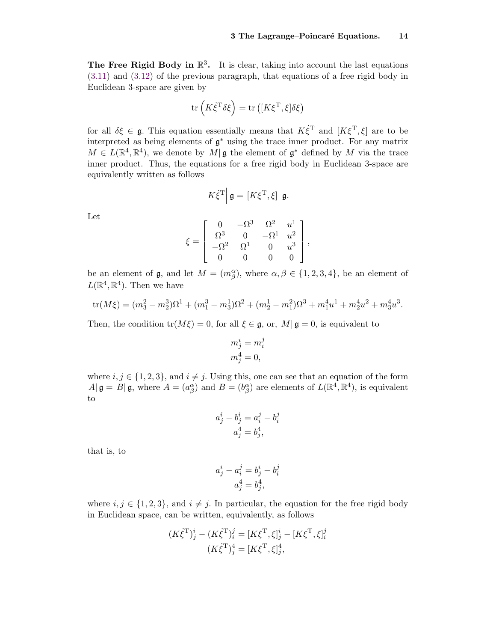The Free Rigid Body in  $\mathbb{R}^3$ . It is clear, taking into account the last equations [\(3.11\)](#page-12-2) and [\(3.12\)](#page-12-3) of the previous paragraph, that equations of a free rigid body in Euclidean 3-space are given by

$$
\operatorname{tr}\left(K\dot{\xi}^{\mathrm{T}}\delta\xi\right) = \operatorname{tr}\left([K\xi^{\mathrm{T}},\xi]\delta\xi\right)
$$

for all  $\delta \xi \in \mathfrak{g}$ . This equation essentially means that  $K \dot{\xi}^T$  and  $[K \xi^T, \xi]$  are to be interpreted as being elements of  $\mathfrak{g}^*$  using the trace inner product. For any matrix  $M \in L(\mathbb{R}^4, \mathbb{R}^4)$ , we denote by  $M|\mathfrak{g}$  the element of  $\mathfrak{g}^*$  defined by M via the trace inner product. Thus, the equations for a free rigid body in Euclidean 3-space are equivalently written as follows

$$
K\dot{\xi}^{\mathrm{T}}\Big|\,\mathfrak{g}=[K\xi^{\mathrm{T}},\xi]\big|\,\mathfrak{g}.
$$

Let

$$
\xi = \begin{bmatrix} 0 & -\Omega^3 & \Omega^2 & u^1 \\ \Omega^3 & 0 & -\Omega^1 & u^2 \\ -\Omega^2 & \Omega^1 & 0 & u^3 \\ 0 & 0 & 0 & 0 \end{bmatrix},
$$

be an element of  $\mathfrak{g}$ , and let  $M = (m_\beta^\alpha)$ , where  $\alpha, \beta \in \{1, 2, 3, 4\}$ , be an element of  $L(\mathbb{R}^4, \mathbb{R}^4)$ . Then we have

tr
$$
(M\xi) = (m_3^2 - m_2^3)\Omega^1 + (m_1^3 - m_3^1)\Omega^2 + (m_2^1 - m_1^2)\Omega^3 + m_1^4u^1 + m_2^4u^2 + m_3^4u^3.
$$

Then, the condition  $tr(M\xi) = 0$ , for all  $\xi \in \mathfrak{g}$ , or,  $M|\mathfrak{g} = 0$ , is equivalent to

$$
m_j^i = m_i^j
$$
  

$$
m_j^4 = 0,
$$

where  $i, j \in \{1, 2, 3\}$ , and  $i \neq j$ . Using this, one can see that an equation of the form  $A|\mathfrak{g}=B|\mathfrak{g}$ , where  $A=(a_{\beta}^{\alpha})$  and  $B=(b_{\beta}^{\alpha})$  are elements of  $L(\mathbb{R}^{4},\mathbb{R}^{4})$ , is equivalent to

$$
a_j^i - b_j^i = a_i^j - b_i^j
$$
  

$$
a_j^4 = b_j^4,
$$

that is, to

$$
a_j^i - a_i^j = b_j^i - b_i^j
$$
  

$$
a_j^4 = b_j^4,
$$

where  $i, j \in \{1, 2, 3\}$ , and  $i \neq j$ . In particular, the equation for the free rigid body in Euclidean space, can be written, equivalently, as follows

$$
(K\dot{\xi}^{\mathrm{T}})^{i}_{j} - (K\dot{\xi}^{\mathrm{T}})^{j}_{i} = [K\xi^{\mathrm{T}}, \xi]^{i}_{j} - [K\xi^{\mathrm{T}}, \xi]^{j}_{i}
$$

$$
(K\dot{\xi}^{\mathrm{T}})^{4}_{j} = [K\xi^{\mathrm{T}}, \xi]^{4}_{j},
$$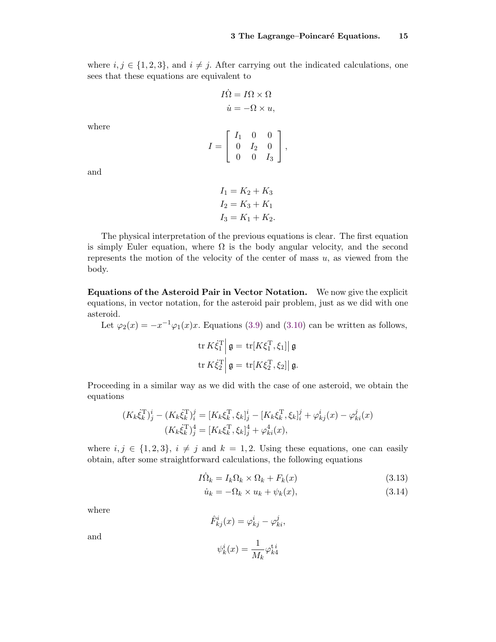where  $i, j \in \{1, 2, 3\}$ , and  $i \neq j$ . After carrying out the indicated calculations, one sees that these equations are equivalent to

$$
I\dot{\Omega} = I\Omega \times \Omega
$$
  

$$
\dot{u} = -\Omega \times u,
$$

where

$$
I = \left[ \begin{array}{ccc} I_1 & 0 & 0 \\ 0 & I_2 & 0 \\ 0 & 0 & I_3 \end{array} \right],
$$

and

$$
I_1 = K_2 + K_3
$$
  
\n
$$
I_2 = K_3 + K_1
$$
  
\n
$$
I_3 = K_1 + K_2.
$$

The physical interpretation of the previous equations is clear. The first equation is simply Euler equation, where  $\Omega$  is the body angular velocity, and the second represents the motion of the velocity of the center of mass  $u$ , as viewed from the body.

Equations of the Asteroid Pair in Vector Notation. We now give the explicit equations, in vector notation, for the asteroid pair problem, just as we did with one asteroid.

Let  $\varphi_2(x) = -x^{-1}\varphi_1(x)x$ . Equations [\(3.9\)](#page-12-0) and [\(3.10\)](#page-12-1) can be written as follows,

$$
\operatorname{tr} K \dot{\xi}_1^{\mathrm{T}} \Big| \mathfrak{g} = \operatorname{tr} [K \xi_1^{\mathrm{T}}, \xi_1] \Big| \mathfrak{g}
$$
  

$$
\operatorname{tr} K \dot{\xi}_2^{\mathrm{T}} \Big| \mathfrak{g} = \operatorname{tr} [K \xi_2^{\mathrm{T}}, \xi_2] \Big| \mathfrak{g}.
$$

Proceeding in a similar way as we did with the case of one asteroid, we obtain the equations

$$
(K_k \dot{\xi}_k^{\mathrm{T}})^i_j - (K_k \dot{\xi}_k^{\mathrm{T}})^j_i = [K_k \xi_k^{\mathrm{T}}, \xi_k]^i_j - [K_k \xi_k^{\mathrm{T}}, \xi_k]^j_i + \varphi_{kj}^i(x) - \varphi_{ki}^j(x) (K_k \dot{\xi}_k^{\mathrm{T}})^4_j = [K_k \xi_k^{\mathrm{T}}, \xi_k]^4_j + \varphi_{ki}^4(x),
$$

where  $i, j \in \{1, 2, 3\}, i \neq j$  and  $k = 1, 2$ . Using these equations, one can easily obtain, after some straightforward calculations, the following equations

$$
I\dot{\Omega}_k = I_k \Omega_k \times \Omega_k + F_k(x) \tag{3.13}
$$

$$
\dot{u}_k = -\Omega_k \times u_k + \psi_k(x),\tag{3.14}
$$

where

$$
\hat{F}_{kj}^i(x) = \varphi_{kj}^i - \varphi_{ki}^j,
$$

and

$$
\psi_k^i(x) = \frac{1}{M_k} \varphi_{k4}^{\mathrm{t}i}
$$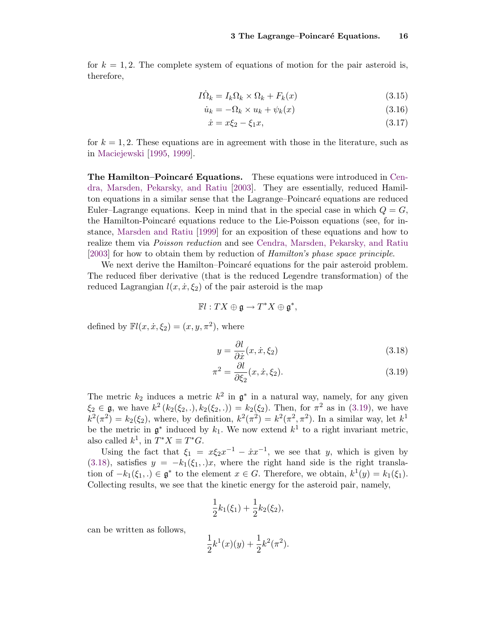for  $k = 1, 2$ . The complete system of equations of motion for the pair asteroid is, therefore,

$$
I\dot{\Omega}_k = I_k \Omega_k \times \Omega_k + F_k(x) \tag{3.15}
$$

$$
\dot{u}_k = -\Omega_k \times u_k + \psi_k(x) \tag{3.16}
$$

<span id="page-15-4"></span><span id="page-15-3"></span><span id="page-15-2"></span>
$$
\dot{x} = x\xi_2 - \xi_1 x,\tag{3.17}
$$

for  $k = 1, 2$ . These equations are in agreement with those in the literature, such as in [Maciejewski](#page-18-5) [\[1995,](#page-18-5) [1999\]](#page-18-6).

**The Hamilton–Poincaré Equations.** These equations were introduced in [Cen](#page-18-9)[dra, Marsden, Pekarsky, and Ratiu](#page-18-9) [\[2003\]](#page-18-9). They are essentially, reduced Hamilton equations in a similar sense that the Lagrange–Poincaré equations are reduced Euler–Lagrange equations. Keep in mind that in the special case in which  $Q = G$ , the Hamilton-Poincaré equations reduce to the Lie-Poisson equations (see, for instance, [Marsden and Ratiu](#page-19-11) [\[1999\]](#page-19-11) for an exposition of these equations and how to realize them via Poisson reduction and see [Cendra, Marsden, Pekarsky, and Ratiu](#page-18-9) [\[2003\]](#page-18-9) for how to obtain them by reduction of Hamilton's phase space principle.

We next derive the Hamilton–Poincaré equations for the pair asteroid problem. The reduced fiber derivative (that is the reduced Legendre transformation) of the reduced Lagrangian  $l(x, \dot{x}, \xi_2)$  of the pair asteroid is the map

$$
\mathbb{F}l:TX\oplus\mathfrak{g}\to T^*X\oplus\mathfrak{g}^*,
$$

defined by  $\mathbb{F}l(x, \dot{x}, \xi_2) = (x, y, \pi^2)$ , where

<span id="page-15-1"></span><span id="page-15-0"></span>
$$
y = \frac{\partial l}{\partial \dot{x}}(x, \dot{x}, \xi_2)
$$
\n(3.18)

$$
\pi^2 = \frac{\partial l}{\partial \xi_2}(x, \dot{x}, \xi_2). \tag{3.19}
$$

The metric  $k_2$  induces a metric  $k^2$  in  $\mathfrak{g}^*$  in a natural way, namely, for any given  $\xi_2 \in \mathfrak{g}$ , we have  $k^2(k_2(\xi_2, .), k_2(\xi_2, .)) = k_2(\xi_2)$ . Then, for  $\pi^2$  as in [\(3.19\)](#page-15-0), we have  $k^2(\pi^2) = k_2(\xi_2)$ , where, by definition,  $k^2(\pi^2) = k^2(\pi^2, \pi^2)$ . In a similar way, let  $k^1$ be the metric in  $\mathfrak{g}^*$  induced by  $k_1$ . We now extend  $k^1$  to a right invariant metric, also called  $k^1$ , in  $T^*X \equiv T^*G$ .

Using the fact that  $\xi_1 = x\xi_2 x^{-1} - x^{-1}$ , we see that y, which is given by [\(3.18\)](#page-15-1), satisfies  $y = -k_1(\xi_1, t)x$ , where the right hand side is the right translation of  $-k_1(\xi_1,.) \in \mathfrak{g}^*$  to the element  $x \in G$ . Therefore, we obtain,  $k^1(y) = k_1(\xi_1)$ . Collecting results, we see that the kinetic energy for the asteroid pair, namely,

$$
\frac{1}{2}k_1(\xi_1)+\frac{1}{2}k_2(\xi_2),
$$

can be written as follows,

$$
\frac{1}{2}k^1(x)(y) + \frac{1}{2}k^2(\pi^2).
$$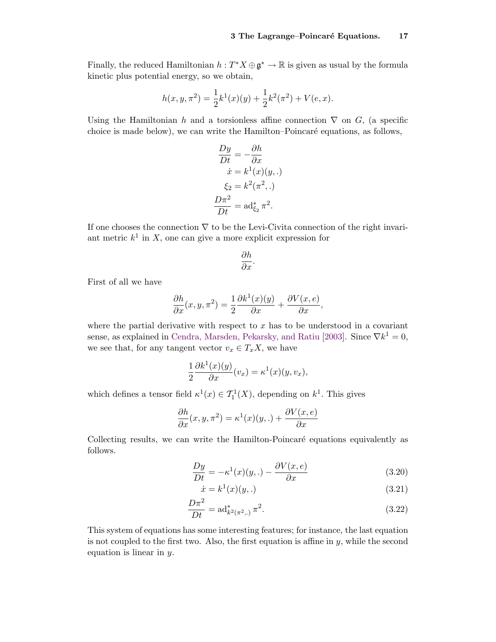Finally, the reduced Hamiltonian  $h: T^*X \oplus \mathfrak{g}^* \to \mathbb{R}$  is given as usual by the formula kinetic plus potential energy, so we obtain,

$$
h(x, y, \pi^{2}) = \frac{1}{2}k^{1}(x)(y) + \frac{1}{2}k^{2}(\pi^{2}) + V(e, x).
$$

Using the Hamiltonian h and a torsionless affine connection  $\nabla$  on G, (a specific choice is made below), we can write the Hamilton–Poincaré equations, as follows,

$$
\frac{Dy}{Dt} = -\frac{\partial h}{\partial x}
$$

$$
\dot{x} = k^1(x)(y,.)
$$

$$
\xi_2 = k^2(\pi^2,.)
$$

$$
\frac{D\pi^2}{Dt} = \text{ad}^*_{\xi_2}\pi^2.
$$

If one chooses the connection  $\nabla$  to be the Levi-Civita connection of the right invariant metric  $k^1$  in X, one can give a more explicit expression for

$$
\frac{\partial h}{\partial x}.
$$

First of all we have

$$
\frac{\partial h}{\partial x}(x, y, \pi^2) = \frac{1}{2} \frac{\partial k^1(x)(y)}{\partial x} + \frac{\partial V(x, e)}{\partial x},
$$

where the partial derivative with respect to  $x$  has to be understood in a covariant sense, as explained in [Cendra, Marsden, Pekarsky, and Ratiu](#page-18-9) [\[2003\]](#page-18-9). Since  $\nabla k^1 = 0$ , we see that, for any tangent vector  $v_x \in T_xX$ , we have

$$
\frac{1}{2}\frac{\partial k^1(x)(y)}{\partial x}(v_x) = \kappa^1(x)(y, v_x),
$$

which defines a tensor field  $\kappa^1(x) \in T^1_1(X)$ , depending on  $k^1$ . This gives

$$
\frac{\partial h}{\partial x}(x, y, \pi^2) = \kappa^1(x)(y,.) + \frac{\partial V(x, e)}{\partial x}
$$

Collecting results, we can write the Hamilton-Poincaré equations equivalently as follows.

$$
\frac{Dy}{Dt} = -\kappa^1(x)(y,.) - \frac{\partial V(x,e)}{\partial x}
$$
\n(3.20)

<span id="page-16-2"></span><span id="page-16-1"></span><span id="page-16-0"></span>
$$
\dot{x} = k^1(x)(y,.)
$$
\n(3.21)

$$
\frac{D\pi^2}{Dt} = \text{ad}_{k^2(\pi^2,.)}^* \pi^2.
$$
 (3.22)

This system of equations has some interesting features; for instance, the last equation is not coupled to the first two. Also, the first equation is affine in  $y$ , while the second equation is linear in y.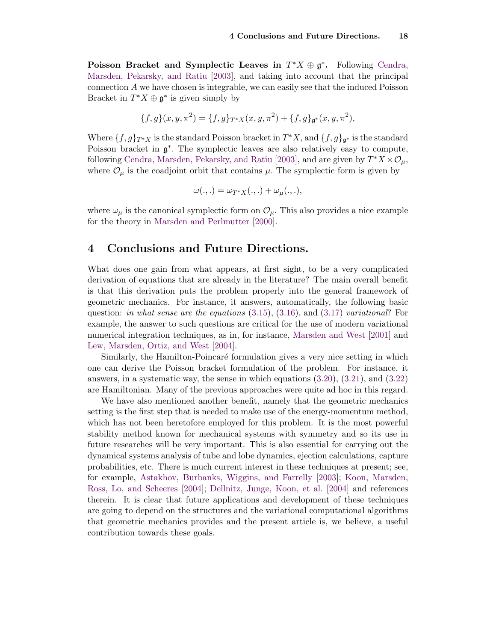Poisson Bracket and Symplectic Leaves in  $T^*X \oplus \mathfrak{g}^*$ . Following [Cendra,](#page-18-9) [Marsden, Pekarsky, and Ratiu](#page-18-9) [\[2003\]](#page-18-9), and taking into account that the principal connection A we have chosen is integrable, we can easily see that the induced Poisson Bracket in  $T^*X \oplus \mathfrak{g}^*$  is given simply by

$$
\{f,g\}(x,y,\pi^2) = \{f,g\}_{T^*X}(x,y,\pi^2) + \{f,g\}_{\mathfrak{g}^*}(x,y,\pi^2),
$$

Where  $\{f,g\}_{T^*X}$  is the standard Poisson bracket in  $T^*X$ , and  $\{f,g\}_{\mathfrak{g}^*}$  is the standard Poisson bracket in  $\mathfrak{g}^*$ . The symplectic leaves are also relatively easy to compute, following [Cendra, Marsden, Pekarsky, and Ratiu](#page-18-9) [\[2003\]](#page-18-9), and are given by  $T^*X \times \mathcal{O}_{\mu}$ , where  $\mathcal{O}_{\mu}$  is the coadjoint orbit that contains  $\mu$ . The symplectic form is given by

$$
\omega(.,.) = \omega_{T^*X}(.,.) + \omega_\mu(.,.),
$$

where  $\omega_{\mu}$  is the canonical symplectic form on  $\mathcal{O}_{\mu}$ . This also provides a nice example for the theory in [Marsden and Perlmutter](#page-19-12) [\[2000\]](#page-19-12).

## 4 Conclusions and Future Directions.

What does one gain from what appears, at first sight, to be a very complicated derivation of equations that are already in the literature? The main overall benefit is that this derivation puts the problem properly into the general framework of geometric mechanics. For instance, it answers, automatically, the following basic question: in what sense are the equations  $(3.15)$ ,  $(3.16)$ , and  $(3.17)$  variational? For example, the answer to such questions are critical for the use of modern variational numerical integration techniques, as in, for instance, [Marsden and West](#page-19-9) [\[2001\]](#page-19-9) and [Lew, Marsden, Ortiz, and West](#page-18-10) [\[2004\]](#page-18-10).

Similarly, the Hamilton-Poincaré formulation gives a very nice setting in which one can derive the Poisson bracket formulation of the problem. For instance, it answers, in a systematic way, the sense in which equations [\(3.20\)](#page-16-0), [\(3.21\)](#page-16-1), and [\(3.22\)](#page-16-2) are Hamiltonian. Many of the previous approaches were quite ad hoc in this regard.

We have also mentioned another benefit, namely that the geometric mechanics setting is the first step that is needed to make use of the energy-momentum method, which has not been heretofore employed for this problem. It is the most powerful stability method known for mechanical systems with symmetry and so its use in future researches will be very important. This is also essential for carrying out the dynamical systems analysis of tube and lobe dynamics, ejection calculations, capture probabilities, etc. There is much current interest in these techniques at present; see, for example, [Astakhov, Burbanks, Wiggins, and Farrelly](#page-18-11) [\[2003\]](#page-18-11); [Koon, Marsden,](#page-18-1) [Ross, Lo, and Scheeres](#page-18-1) [\[2004\]](#page-18-1); [Dellnitz, Junge, Koon, et al.](#page-18-3) [\[2004\]](#page-18-3) and references therein. It is clear that future applications and development of these techniques are going to depend on the structures and the variational computational algorithms that geometric mechanics provides and the present article is, we believe, a useful contribution towards these goals.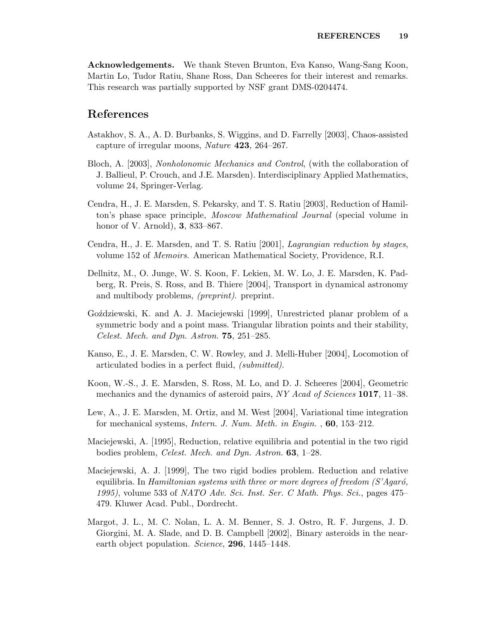Acknowledgements. We thank Steven Brunton, Eva Kanso, Wang-Sang Koon, Martin Lo, Tudor Ratiu, Shane Ross, Dan Scheeres for their interest and remarks. This research was partially supported by NSF grant DMS-0204474.

#### References

- <span id="page-18-11"></span>Astakhov, S. A., A. D. Burbanks, S. Wiggins, and D. Farrelly [2003], Chaos-assisted capture of irregular moons, Nature 423, 264–267.
- <span id="page-18-8"></span>Bloch, A. [2003], Nonholonomic Mechanics and Control, (with the collaboration of J. Ballieul, P. Crouch, and J.E. Marsden). Interdisciplinary Applied Mathematics, volume 24, Springer-Verlag.
- <span id="page-18-9"></span>Cendra, H., J. E. Marsden, S. Pekarsky, and T. S. Ratiu [2003], Reduction of Hamilton's phase space principle, Moscow Mathematical Journal (special volume in honor of V. Arnold), 3, 833–867.
- <span id="page-18-2"></span>Cendra, H., J. E. Marsden, and T. S. Ratiu [2001], Lagrangian reduction by stages, volume 152 of Memoirs. American Mathematical Society, Providence, R.I.
- <span id="page-18-3"></span>Dellnitz, M., O. Junge, W. S. Koon, F. Lekien, M. W. Lo, J. E. Marsden, K. Padberg, R. Preis, S. Ross, and B. Thiere [2004], Transport in dynamical astronomy and multibody problems, (preprint). preprint.
- <span id="page-18-7"></span>Goździewski, K. and A. J. Maciejewski [1999], Unrestricted planar problem of a symmetric body and a point mass. Triangular libration points and their stability, Celest. Mech. and Dyn. Astron. 75, 251–285.
- <span id="page-18-4"></span>Kanso, E., J. E. Marsden, C. W. Rowley, and J. Melli-Huber [2004], Locomotion of articulated bodies in a perfect fluid, (submitted).
- <span id="page-18-1"></span>Koon, W.-S., J. E. Marsden, S. Ross, M. Lo, and D. J. Scheeres [2004], Geometric mechanics and the dynamics of asteroid pairs, NY Acad of Sciences 1017, 11–38.
- <span id="page-18-10"></span>Lew, A., J. E. Marsden, M. Ortiz, and M. West [2004], Variational time integration for mechanical systems, Intern. J. Num. Meth. in Engin. , 60, 153–212.
- <span id="page-18-5"></span>Maciejewski, A. [1995], Reduction, relative equilibria and potential in the two rigid bodies problem, Celest. Mech. and Dyn. Astron. 63, 1–28.
- <span id="page-18-6"></span>Maciejewski, A. J. [1999], The two rigid bodies problem. Reduction and relative equilibria. In Hamiltonian systems with three or more degrees of freedom  $(S'Aqaró,$ 1995), volume 533 of NATO Adv. Sci. Inst. Ser. C Math. Phys. Sci., pages 475– 479. Kluwer Acad. Publ., Dordrecht.
- <span id="page-18-0"></span>Margot, J. L., M. C. Nolan, L. A. M. Benner, S. J. Ostro, R. F. Jurgens, J. D. Giorgini, M. A. Slade, and D. B. Campbell [2002], Binary asteroids in the nearearth object population. Science, 296, 1445-1448.